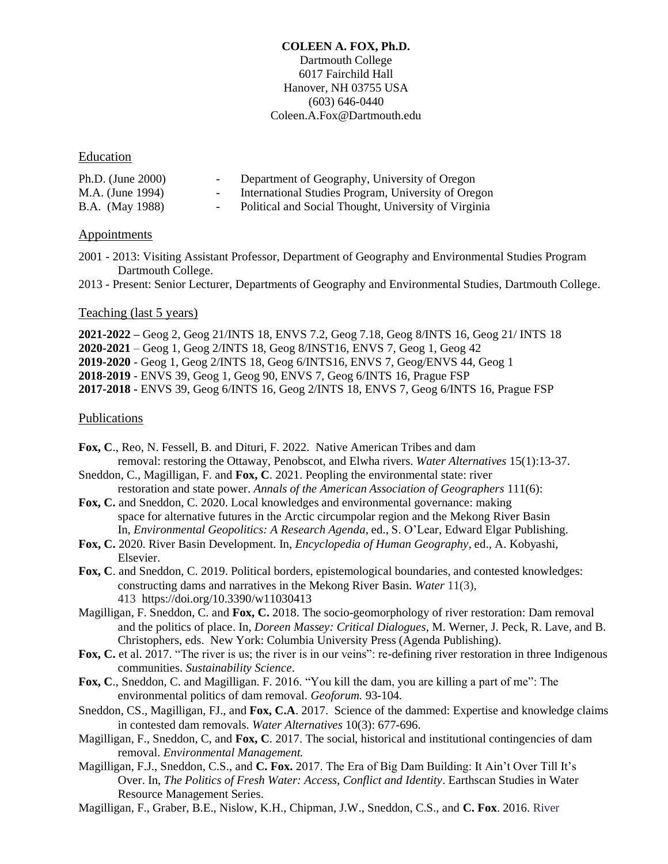## **COLEEN A. FOX, Ph.D.** Dartmouth College 6017 Fairchild Hall Hanover, NH 03755 USA (603) 646-0440 Coleen.A.Fox@Dartmouth.edu

# Education

| Ph.D. (June $2000$ )   | $\sim$ $\sim$            | Department of Geography, University of Oregon        |
|------------------------|--------------------------|------------------------------------------------------|
| M.A. (June 1994)       | $\sim$ $\sim$            | International Studies Program, University of Oregon  |
| <b>B.A.</b> (May 1988) | $\overline{\phantom{0}}$ | Political and Social Thought, University of Virginia |

### **Appointments**

- 2001 2013: Visiting Assistant Professor, Department of Geography and Environmental Studies Program Dartmouth College.
- 2013 Present: Senior Lecturer, Departments of Geography and Environmental Studies, Dartmouth College.

# Teaching (last 5 years)

**2021-2022 –** Geog 2, Geog 21/INTS 18, ENVS 7.2, Geog 7.18, Geog 8/INTS 16, Geog 21/ INTS 18 **2020-2021** – Geog 1, Geog 2/INTS 18, Geog 8/INST16, ENVS 7, Geog 1, Geog 42 **2019-2020** - Geog 1, Geog 2/INTS 18, Geog 6/INTS16, ENVS 7, Geog/ENVS 44, Geog 1 **2018-2019** - ENVS 39, Geog 1, Geog 90, ENVS 7, Geog 6/INTS 16, Prague FSP **2017-2018 -** ENVS 39, Geog 6/INTS 16, Geog 2/INTS 18, ENVS 7, Geog 6/INTS 16, Prague FSP

### **Publications**

- **Fox, C**., Reo, N. Fessell, B. and Dituri, F. 2022. Native American Tribes and dam removal: restoring the Ottaway, Penobscot, and Elwha rivers. *Water Alternatives* 15(1):13-37.
- Sneddon, C., Magilligan, F. and **Fox, C**. 2021. Peopling the environmental state: river restoration and state power. *Annals of the American Association of Geographers* 111(6):
- **Fox, C.** and Sneddon, C. 2020. Local knowledges and environmental governance: making space for alternative futures in the Arctic circumpolar region and the Mekong River Basin In, *Environmental Geopolitics: A Research Agenda,* ed., S. O'Lear, Edward Elgar Publishing.
- **Fox, C.** 2020. River Basin Development. In, *Encyclopedia of Human Geography*, ed., A. Kobyashi, Elsevier.
- **Fox, C**. and Sneddon, C. 2019. Political borders, epistemological boundaries, and contested knowledges: constructing dams and narratives in the Mekong River Basin. *Water* 11(3), 413 <https://doi.org/10.3390/w11030413>
- Magilligan, F. Sneddon, C. and **Fox, C.** 2018. The socio-geomorphology of river restoration: Dam removal and the politics of place. In, *Doreen Massey: Critical Dialogues*, M. Werner, J. Peck, R. Lave, and B. Christophers, eds. New York: Columbia University Press (Agenda Publishing).
- **Fox, C.** et al. 2017. "The river is us; the river is in our veins": re-defining river restoration in three Indigenous communities. *Sustainability Science*.
- **Fox, C**., Sneddon, C. and Magilligan. F. 2016. "You kill the dam, you are killing a part of me": The environmental politics of dam removal. *Geoforum.* 93-104.
- Sneddon, CS., Magilligan, FJ., and **Fox, C.A**. 2017. Science of the dammed: Expertise and knowledge claims in contested dam removals. *Water Alternatives* 10(3): 677-696.
- Magilligan, F., Sneddon, C, and **Fox, C**. 2017. The social, historical and institutional contingencies of dam removal. *Environmental Management.*
- Magilligan, F.J., Sneddon, C.S., and **C. Fox.** 2017. The Era of Big Dam Building: It Ain't Over Till It's Over. In, *The Politics of Fresh Water: Access, Conflict and Identity*. Earthscan Studies in Water Resource Management Series.
- Magilligan, F., Graber, B.E., Nislow, K.H., Chipman, J.W., Sneddon, C.S., and **C. Fox**. 2016. River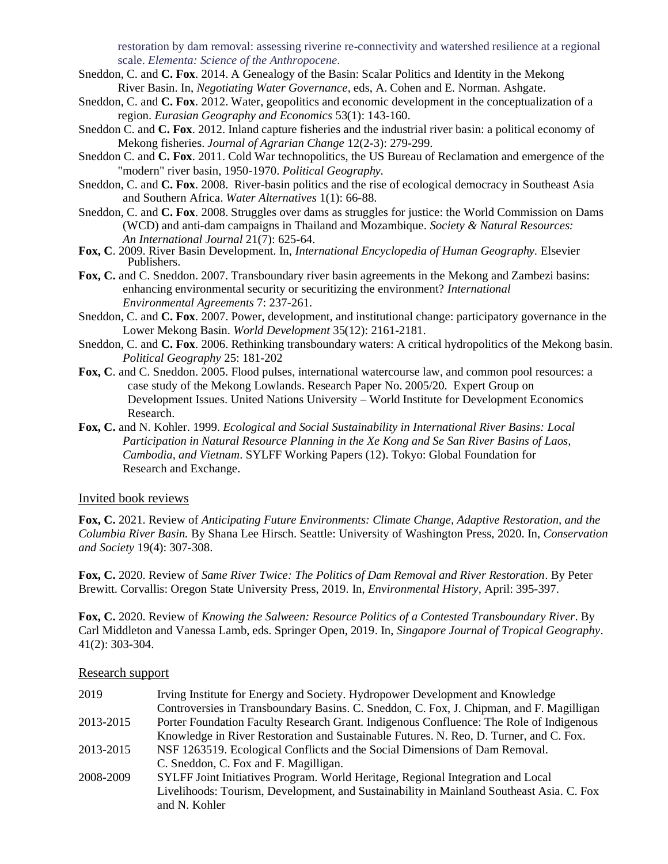restoration by dam removal: assessing riverine re-connectivity and watershed resilience at a regional scale. *Elementa: Science of the Anthropocene.*

- Sneddon, C. and **C. Fox**. 2014. A Genealogy of the Basin: Scalar Politics and Identity in the Mekong River Basin. In, *Negotiating Water Governance*, eds, A. Cohen and E. Norman. Ashgate.
- Sneddon, C. and **C. Fox**. 2012. Water, geopolitics and economic development in the conceptualization of a region. *Eurasian Geography and Economics* 53(1): 143-160.
- Sneddon C. and **C. Fox**. 2012. Inland capture fisheries and the industrial river basin: a political economy of Mekong fisheries. *Journal of Agrarian Change* 12(2-3): 279-299.
- Sneddon C. and **C. Fox**. 2011. Cold War technopolitics, the US Bureau of Reclamation and emergence of the "modern" river basin, 1950-1970. *Political Geography.*
- Sneddon, C. and **C. Fox**. 2008. River-basin politics and the rise of ecological democracy in Southeast Asia and Southern Africa. *Water Alternatives* 1(1): 66-88.
- Sneddon, C. and **C. Fox**. 2008. Struggles over dams as struggles for justice: the World Commission on Dams (WCD) and anti-dam campaigns in Thailand and Mozambique. *Society & Natural Resources: An International Journal* 21(7): 625-64.
- **Fox, C**. 2009. River Basin Development. In, *International Encyclopedia of Human Geography.* Elsevier Publishers.
- **Fox, C.** and C. Sneddon. 2007. Transboundary river basin agreements in the Mekong and Zambezi basins: enhancing environmental security or securitizing the environment? *International Environmental Agreements* 7: 237-261.
- Sneddon, C. and **C. Fox**. 2007. Power, development, and institutional change: participatory governance in the Lower Mekong Basin. *World Development* 35(12): 2161-2181.
- Sneddon, C. and **C. Fox**. 2006. Rethinking transboundary waters: A critical hydropolitics of the Mekong basin. *Political Geography* 25: 181-202
- **Fox, C**. and C. Sneddon. 2005. Flood pulses, international watercourse law, and common pool resources: a case study of the Mekong Lowlands. Research Paper No. 2005/20. Expert Group on Development Issues. United Nations University – World Institute for Development Economics Research.
- **Fox, C.** and N. Kohler. 1999. *Ecological and Social Sustainability in International River Basins: Local Participation in Natural Resource Planning in the Xe Kong and Se San River Basins of Laos, Cambodia, and Vietnam*. SYLFF Working Papers (12). Tokyo: Global Foundation for Research and Exchange.

#### Invited book reviews

**Fox, C.** 2021. Review of *Anticipating Future Environments: Climate Change, Adaptive Restoration, and the Columbia River Basin.* By Shana Lee Hirsch. Seattle: University of Washington Press, 2020. In, *Conservation and Society* 19(4): 307-308.

**Fox, C.** 2020. Review of *Same River Twice: The Politics of Dam Removal and River Restoration*. By Peter Brewitt. Corvallis: Oregon State University Press, 2019. In, *Environmental History,* April: 395-397.

**Fox, C.** 2020. Review of *Knowing the Salween: Resource Politics of a Contested Transboundary River*. By Carl Middleton and Vanessa Lamb, eds. Springer Open, 2019. In, *Singapore Journal of Tropical Geography*. 41(2): 303-304.

### Research support

| 2019      | Irving Institute for Energy and Society. Hydropower Development and Knowledge            |
|-----------|------------------------------------------------------------------------------------------|
|           | Controversies in Transboundary Basins. C. Sneddon, C. Fox, J. Chipman, and F. Magilligan |
| 2013-2015 | Porter Foundation Faculty Research Grant. Indigenous Confluence: The Role of Indigenous  |
|           | Knowledge in River Restoration and Sustainable Futures. N. Reo, D. Turner, and C. Fox.   |
| 2013-2015 | NSF 1263519. Ecological Conflicts and the Social Dimensions of Dam Removal.              |
|           | C. Sneddon, C. Fox and F. Magilligan.                                                    |
| 2008-2009 | SYLFF Joint Initiatives Program. World Heritage, Regional Integration and Local          |
|           | Livelihoods: Tourism, Development, and Sustainability in Mainland Southeast Asia. C. Fox |
|           | and N. Kohler                                                                            |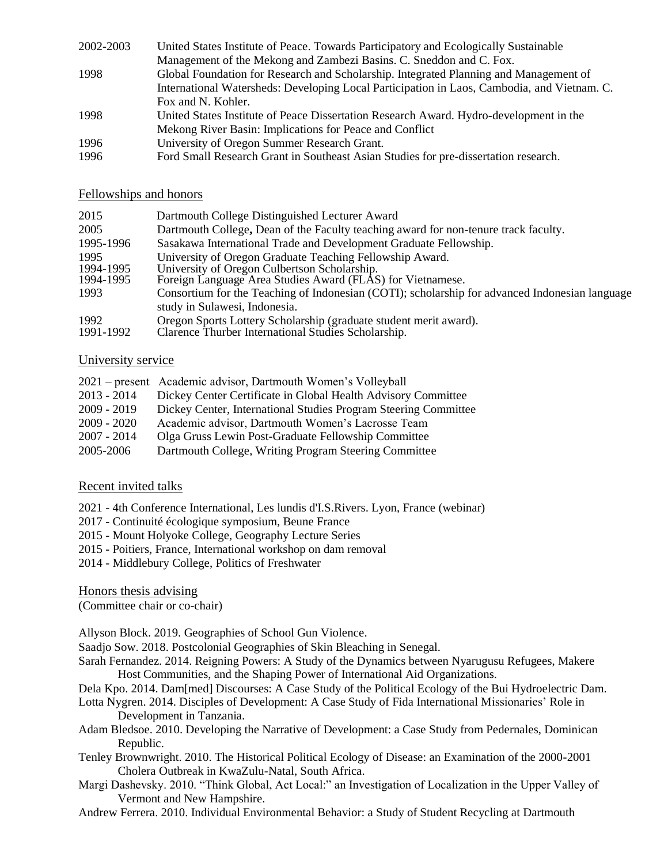| 2002-2003 | United States Institute of Peace. Towards Participatory and Ecologically Sustainable        |
|-----------|---------------------------------------------------------------------------------------------|
|           | Management of the Mekong and Zambezi Basins. C. Sneddon and C. Fox.                         |
| 1998      | Global Foundation for Research and Scholarship. Integrated Planning and Management of       |
|           | International Watersheds: Developing Local Participation in Laos, Cambodia, and Vietnam. C. |
|           | Fox and N. Kohler.                                                                          |
| 1998      | United States Institute of Peace Dissertation Research Award. Hydro-development in the      |
|           | Mekong River Basin: Implications for Peace and Conflict                                     |
| 1996      | University of Oregon Summer Research Grant.                                                 |
| 1996      | Ford Small Research Grant in Southeast Asian Studies for pre-dissertation research.         |

# Fellowships and honors

| 2015              | Dartmouth College Distinguished Lecturer Award                                                                           |
|-------------------|--------------------------------------------------------------------------------------------------------------------------|
| 2005              | Dartmouth College, Dean of the Faculty teaching award for non-tenure track faculty.                                      |
| 1995-1996         | Sasakawa International Trade and Development Graduate Fellowship.                                                        |
| 1995              | University of Oregon Graduate Teaching Fellowship Award.                                                                 |
| 1994-1995         | University of Oregon Culbertson Scholarship.                                                                             |
| 1994-1995         | Foreign Language Area Studies Award (FLÂS) for Vietnamese.                                                               |
| 1993              | Consortium for the Teaching of Indonesian (COTI); scholarship for advanced Indonesian language                           |
|                   | study in Sulawesi, Indonesia.                                                                                            |
| 1992<br>1991-1992 | Oregon Sports Lottery Scholarship (graduate student merit award).<br>Clarence Thurber International Studies Scholarship. |

# University service

|               | 2021 – present Academic advisor, Dartmouth Women's Volleyball   |
|---------------|-----------------------------------------------------------------|
| $2013 - 2014$ | Dickey Center Certificate in Global Health Advisory Committee   |
| $2009 - 2019$ | Dickey Center, International Studies Program Steering Committee |
| $2009 - 2020$ | Academic advisor, Dartmouth Women's Lacrosse Team               |
| $2007 - 2014$ | Olga Gruss Lewin Post-Graduate Fellowship Committee             |
| 2005-2006     | Dartmouth College, Writing Program Steering Committee           |

# Recent invited talks

2021 - 4th Conference International, Les lundis d'I.S.Rivers. Lyon, France (webinar)

- 2017 Continuité écologique symposium, Beune France
- 2015 Mount Holyoke College, Geography Lecture Series
- 2015 Poitiers, France, International workshop on dam removal
- 2014 Middlebury College, Politics of Freshwater

Honors thesis advising

(Committee chair or co-chair)

Allyson Block. 2019. Geographies of School Gun Violence.

Saadjo Sow. 2018. Postcolonial Geographies of Skin Bleaching in Senegal.

- Sarah Fernandez. 2014. Reigning Powers: A Study of the Dynamics between Nyarugusu Refugees, Makere Host Communities, and the Shaping Power of International Aid Organizations.
- Dela Kpo. 2014. Dam[med] Discourses: A Case Study of the Political Ecology of the Bui Hydroelectric Dam.
- Lotta Nygren. 2014. Disciples of Development: A Case Study of Fida International Missionaries' Role in Development in Tanzania.
- Adam Bledsoe. 2010. Developing the Narrative of Development: a Case Study from Pedernales, Dominican Republic.
- Tenley Brownwright. 2010. The Historical Political Ecology of Disease: an Examination of the 2000-2001 Cholera Outbreak in KwaZulu-Natal, South Africa.
- Margi Dashevsky. 2010. "Think Global, Act Local:" an Investigation of Localization in the Upper Valley of Vermont and New Hampshire.
- Andrew Ferrera. 2010. Individual Environmental Behavior: a Study of Student Recycling at Dartmouth